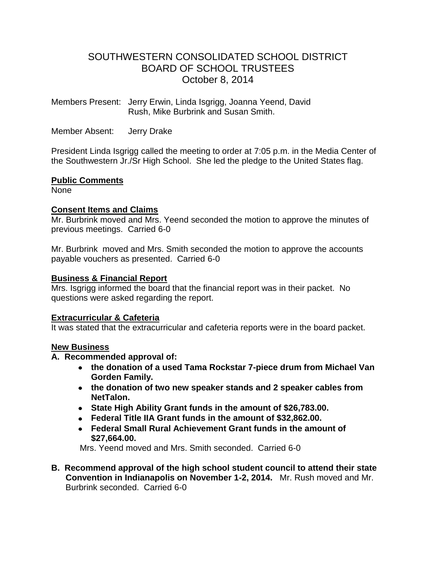# SOUTHWESTERN CONSOLIDATED SCHOOL DISTRICT BOARD OF SCHOOL TRUSTEES October 8, 2014

Members Present: Jerry Erwin, Linda Isgrigg, Joanna Yeend, David Rush, Mike Burbrink and Susan Smith.

Member Absent: Jerry Drake

President Linda Isgrigg called the meeting to order at 7:05 p.m. in the Media Center of the Southwestern Jr./Sr High School. She led the pledge to the United States flag.

# **Public Comments**

None

# **Consent Items and Claims**

Mr. Burbrink moved and Mrs. Yeend seconded the motion to approve the minutes of previous meetings. Carried 6-0

Mr. Burbrink moved and Mrs. Smith seconded the motion to approve the accounts payable vouchers as presented. Carried 6-0

# **Business & Financial Report**

Mrs. Isgrigg informed the board that the financial report was in their packet. No questions were asked regarding the report.

#### **Extracurricular & Cafeteria**

It was stated that the extracurricular and cafeteria reports were in the board packet.

#### **New Business**

# **A. Recommended approval of:**

- **the donation of a used Tama Rockstar 7-piece drum from Michael Van Gorden Family.**
- **the donation of two new speaker stands and 2 speaker cables from NetTalon.**
- **State High Ability Grant funds in the amount of \$26,783.00.**
- **Federal Title IIA Grant funds in the amount of \$32,862.00.**
- **Federal Small Rural Achievement Grant funds in the amount of \$27,664.00.**

Mrs. Yeend moved and Mrs. Smith seconded. Carried 6-0

**B. Recommend approval of the high school student council to attend their state Convention in Indianapolis on November 1-2, 2014.** Mr. Rush moved and Mr. Burbrink seconded. Carried 6-0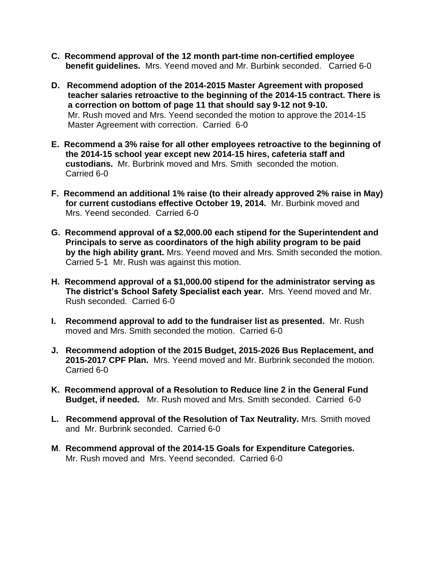- **C. Recommend approval of the 12 month part-time non-certified employee benefit guidelines.** Mrs. Yeend moved and Mr. Burbink seconded. Carried 6-0
- **D. Recommend adoption of the 2014-2015 Master Agreement with proposed teacher salaries retroactive to the beginning of the 2014-15 contract. There is a correction on bottom of page 11 that should say 9-12 not 9-10.** Mr. Rush moved and Mrs. Yeend seconded the motion to approve the 2014-15 Master Agreement with correction. Carried 6-0
- **E. Recommend a 3% raise for all other employees retroactive to the beginning of the 2014-15 school year except new 2014-15 hires, cafeteria staff and custodians.** Mr. Burbrink moved and Mrs. Smith seconded the motion. Carried 6-0
- **F. Recommend an additional 1% raise (to their already approved 2% raise in May) for current custodians effective October 19, 2014.** Mr. Burbink moved and Mrs. Yeend seconded. Carried 6-0
- **G. Recommend approval of a \$2,000.00 each stipend for the Superintendent and Principals to serve as coordinators of the high ability program to be paid by the high ability grant.** Mrs. Yeend moved and Mrs. Smith seconded the motion. Carried 5-1 Mr. Rush was against this motion.
- **H. Recommend approval of a \$1,000.00 stipend for the administrator serving as The district's School Safety Specialist each year.** Mrs. Yeend moved and Mr. Rush seconded. Carried 6-0
- **I. Recommend approval to add to the fundraiser list as presented.** Mr. Rush moved and Mrs. Smith seconded the motion. Carried 6-0
- **J. Recommend adoption of the 2015 Budget, 2015-2026 Bus Replacement, and 2015-2017 CPF Plan.** Mrs. Yeend moved and Mr. Burbrink seconded the motion. Carried 6-0
- **K. Recommend approval of a Resolution to Reduce line 2 in the General Fund Budget, if needed.** Mr. Rush moved and Mrs. Smith seconded. Carried 6-0
- **L. Recommend approval of the Resolution of Tax Neutrality.** Mrs. Smith moved and Mr. Burbrink seconded. Carried 6-0
- **M**. **Recommend approval of the 2014-15 Goals for Expenditure Categories.** Mr. Rush moved and Mrs. Yeend seconded. Carried 6-0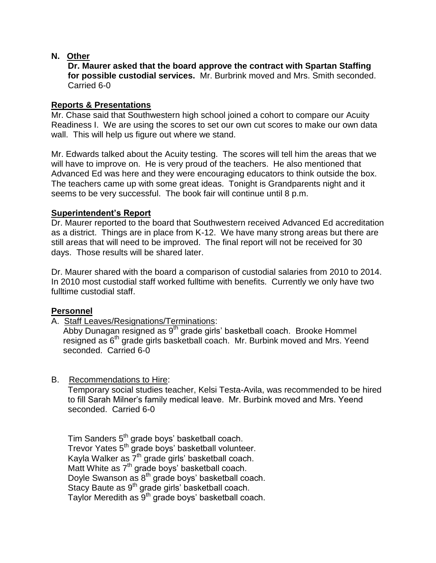# **N. Other**

 **Dr. Maurer asked that the board approve the contract with Spartan Staffing for possible custodial services.** Mr. Burbrink moved and Mrs. Smith seconded. Carried 6-0

### **Reports & Presentations**

Mr. Chase said that Southwestern high school joined a cohort to compare our Acuity Readiness I. We are using the scores to set our own cut scores to make our own data wall. This will help us figure out where we stand.

Mr. Edwards talked about the Acuity testing. The scores will tell him the areas that we will have to improve on. He is very proud of the teachers. He also mentioned that Advanced Ed was here and they were encouraging educators to think outside the box. The teachers came up with some great ideas. Tonight is Grandparents night and it seems to be very successful. The book fair will continue until 8 p.m.

# **Superintendent's Report**

Dr. Maurer reported to the board that Southwestern received Advanced Ed accreditation as a district. Things are in place from K-12. We have many strong areas but there are still areas that will need to be improved. The final report will not be received for 30 days. Those results will be shared later.

Dr. Maurer shared with the board a comparison of custodial salaries from 2010 to 2014. In 2010 most custodial staff worked fulltime with benefits. Currently we only have two fulltime custodial staff.

# **Personnel**

A. Staff Leaves/Resignations/Terminations:

Abby Dunagan resigned as 9<sup>th</sup> grade girls' basketball coach. Brooke Hommel resigned as 6<sup>th</sup> grade girls basketball coach. Mr. Burbink moved and Mrs. Yeend seconded. Carried 6-0

B. Recommendations to Hire:

 Temporary social studies teacher, Kelsi Testa-Avila, was recommended to be hired to fill Sarah Milner's family medical leave. Mr. Burbink moved and Mrs. Yeend seconded. Carried 6-0

Tim Sanders 5<sup>th</sup> grade boys' basketball coach. Trevor Yates 5<sup>th</sup> grade boys' basketball volunteer. Kayla Walker as  $7<sup>th</sup>$  grade girls' basketball coach. Matt White as 7<sup>th</sup> grade boys' basketball coach. Doyle Swanson as 8<sup>th</sup> grade boys' basketball coach. Stacy Baute as 9<sup>th</sup> grade girls' basketball coach. Taylor Meredith as 9<sup>th</sup> grade boys' basketball coach.